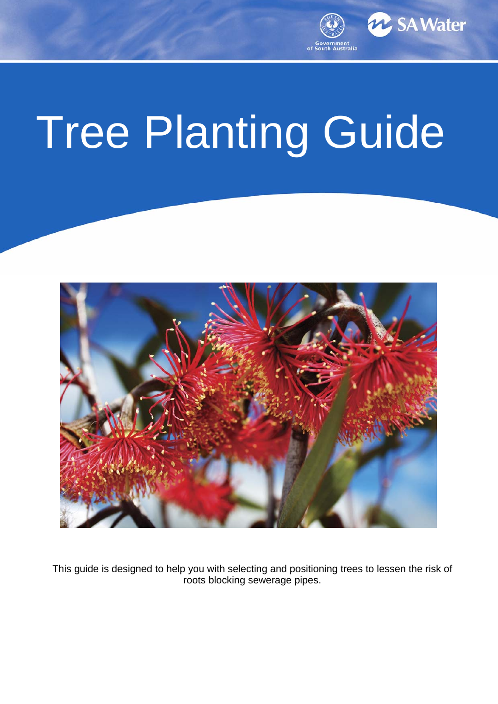

# Tree Planting Guide



This guide is designed to help you with selecting and positioning trees to lessen the risk of roots blocking sewerage pipes.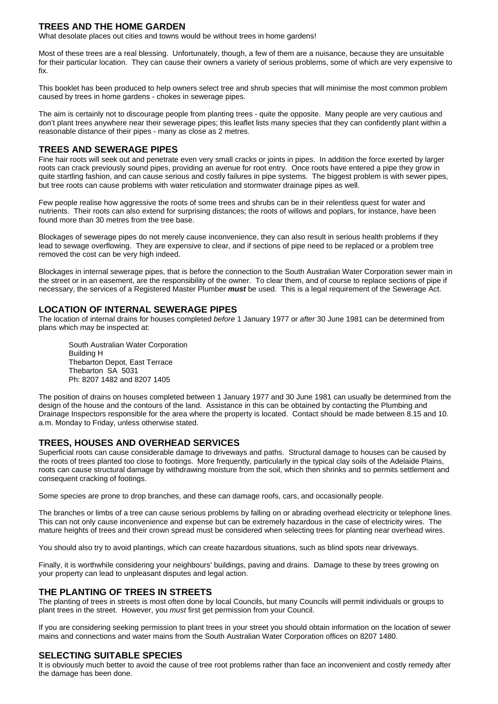## **TREES AND THE HOME GARDEN**

What desolate places out cities and towns would be without trees in home gardens!

Most of these trees are a real blessing. Unfortunately, though, a few of them are a nuisance, because they are unsuitable for their particular location. They can cause their owners a variety of serious problems, some of which are very expensive to fix.

This booklet has been produced to help owners select tree and shrub species that will minimise the most common problem caused by trees in home gardens - chokes in sewerage pipes.

The aim is certainly not to discourage people from planting trees - quite the opposite. Many people are very cautious and don't plant trees anywhere near their sewerage pipes; this leaflet lists many species that they can confidently plant within a reasonable distance of their pipes - many as close as 2 metres.

## **TREES AND SEWERAGE PIPES**

Fine hair roots will seek out and penetrate even very small cracks or joints in pipes. In addition the force exerted by larger roots can crack previously sound pipes, providing an avenue for root entry. Once roots have entered a pipe they grow in quite startling fashion, and can cause serious and costly failures in pipe systems. The biggest problem is with sewer pipes, but tree roots can cause problems with water reticulation and stormwater drainage pipes as well.

Few people realise how aggressive the roots of some trees and shrubs can be in their relentless quest for water and nutrients. Their roots can also extend for surprising distances; the roots of willows and poplars, for instance, have been found more than 30 metres from the tree base.

Blockages of sewerage pipes do not merely cause inconvenience, they can also result in serious health problems if they lead to sewage overflowing. They are expensive to clear, and if sections of pipe need to be replaced or a problem tree removed the cost can be very high indeed.

Blockages in internal sewerage pipes, that is before the connection to the South Australian Water Corporation sewer main in the street or in an easement, are the responsibility of the owner. To clear them, and of course to replace sections of pipe if necessary, the services of a Registered Master Plumber *must* be used. This is a legal requirement of the Sewerage Act.

## **LOCATION OF INTERNAL SEWERAGE PIPES**

The location of internal drains for houses completed *before* 1 January 1977 or *after* 30 June 1981 can be determined from plans which may be inspected at:

 South Australian Water Corporation Building H Thebarton Depot, East Terrace Thebarton SA 5031 Ph: 8207 1482 and 8207 1405

The position of drains on houses completed between 1 January 1977 and 30 June 1981 can usually be determined from the design of the house and the contours of the land. Assistance in this can be obtained by contacting the Plumbing and Drainage Inspectors responsible for the area where the property is located. Contact should be made between 8.15 and 10. a.m. Monday to Friday, unless otherwise stated.

## **TREES, HOUSES AND OVERHEAD SERVICES**

Superficial roots can cause considerable damage to driveways and paths. Structural damage to houses can be caused by the roots of trees planted too close to footings. More frequently, particularly in the typical clay soils of the Adelaide Plains, roots can cause structural damage by withdrawing moisture from the soil, which then shrinks and so permits settlement and consequent cracking of footings.

Some species are prone to drop branches, and these can damage roofs, cars, and occasionally people.

The branches or limbs of a tree can cause serious problems by falling on or abrading overhead electricity or telephone lines. This can not only cause inconvenience and expense but can be extremely hazardous in the case of electricity wires. The mature heights of trees and their crown spread must be considered when selecting trees for planting near overhead wires.

You should also try to avoid plantings, which can create hazardous situations, such as blind spots near driveways.

Finally, it is worthwhile considering your neighbours' buildings, paving and drains. Damage to these by trees growing on your property can lead to unpleasant disputes and legal action.

#### **THE PLANTING OF TREES IN STREETS**

The planting of trees in streets is most often done by local Councils, but many Councils will permit individuals or groups to plant trees in the street. However, you *must* first get permission from your Council.

If you are considering seeking permission to plant trees in your street you should obtain information on the location of sewer mains and connections and water mains from the South Australian Water Corporation offices on 8207 1480.

#### **SELECTING SUITABLE SPECIES**

It is obviously much better to avoid the cause of tree root problems rather than face an inconvenient and costly remedy after the damage has been done.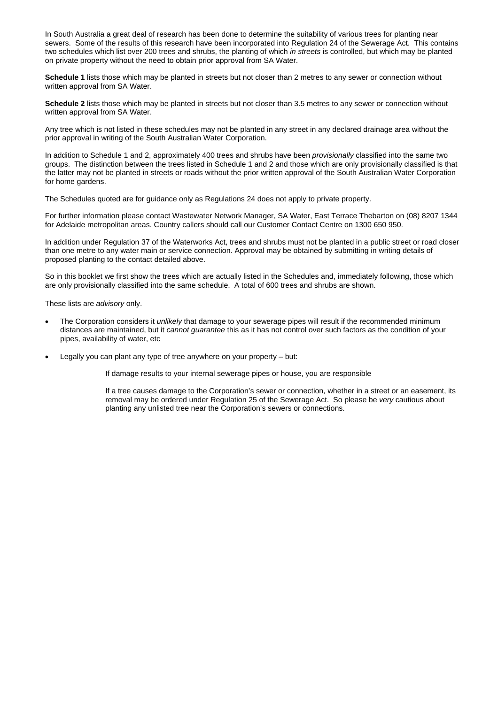In South Australia a great deal of research has been done to determine the suitability of various trees for planting near sewers. Some of the results of this research have been incorporated into Regulation 24 of the Sewerage Act. This contains two schedules which list over 200 trees and shrubs, the planting of which *in streets* is controlled, but which may be planted on private property without the need to obtain prior approval from SA Water.

**Schedule 1** lists those which may be planted in streets but not closer than 2 metres to any sewer or connection without written approval from SA Water.

**Schedule 2** lists those which may be planted in streets but not closer than 3.5 metres to any sewer or connection without written approval from SA Water.

Any tree which is not listed in these schedules may not be planted in any street in any declared drainage area without the prior approval in writing of the South Australian Water Corporation.

In addition to Schedule 1 and 2, approximately 400 trees and shrubs have been *provisionally* classified into the same two groups. The distinction between the trees listed in Schedule 1 and 2 and those which are only provisionally classified is that the latter may not be planted in streets or roads without the prior written approval of the South Australian Water Corporation for home gardens.

The Schedules quoted are for guidance only as Regulations 24 does not apply to private property.

For further information please contact Wastewater Network Manager, SA Water, East Terrace Thebarton on (08) 8207 1344 for Adelaide metropolitan areas. Country callers should call our Customer Contact Centre on 1300 650 950.

In addition under Regulation 37 of the Waterworks Act, trees and shrubs must not be planted in a public street or road closer than one metre to any water main or service connection. Approval may be obtained by submitting in writing details of proposed planting to the contact detailed above.

So in this booklet we first show the trees which are actually listed in the Schedules and, immediately following, those which are only provisionally classified into the same schedule. A total of 600 trees and shrubs are shown.

These lists are *advisory* only.

- The Corporation considers it *unlikely* that damage to your sewerage pipes will result if the recommended minimum distances are maintained, but it *cannot guarantee* this as it has not control over such factors as the condition of your pipes, availability of water, etc
- Legally you can plant any type of tree anywhere on your property but:

If damage results to your internal sewerage pipes or house, you are responsible

If a tree causes damage to the Corporation's sewer or connection, whether in a street or an easement, its removal may be ordered under Regulation 25 of the Sewerage Act. So please be *very* cautious about planting any unlisted tree near the Corporation's sewers or connections.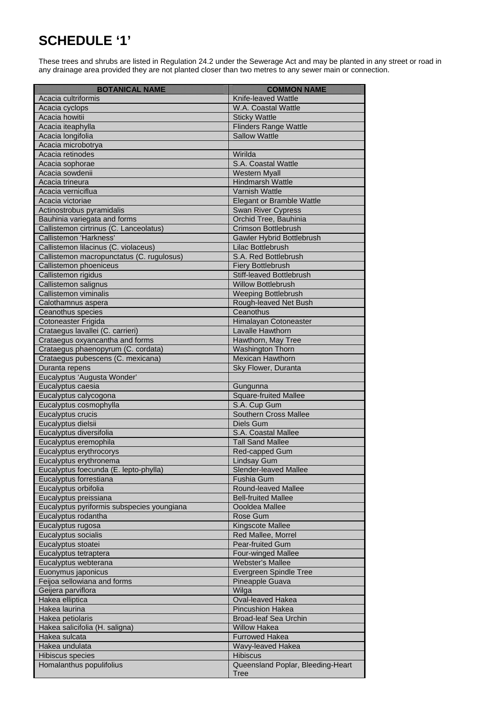# **SCHEDULE '1'**

These trees and shrubs are listed in Regulation 24.2 under the Sewerage Act and may be planted in any street or road in any drainage area provided they are not planted closer than two metres to any sewer main or connection.

| BOTANIOAUNANE                              | <b>COMMON NAME</b>                |
|--------------------------------------------|-----------------------------------|
| Acacia cultriformis                        | Knife-leaved Wattle               |
| Acacia cyclops                             | W.A. Coastal Wattle               |
| Acacia howitii                             | <b>Sticky Wattle</b>              |
| Acacia iteaphylla                          | <b>Flinders Range Wattle</b>      |
| Acacia longifolia                          | Sallow Wattle                     |
| Acacia microbotrya                         |                                   |
| Acacia retinodes                           | Wirilda                           |
| Acacia sophorae                            | S.A. Coastal Wattle               |
| Acacia sowdenii                            | <b>Western Myall</b>              |
| Acacia trineura                            | <b>Hindmarsh Wattle</b>           |
| Acacia verniciflua                         | <b>Varnish Wattle</b>             |
| Acacia victoriae                           | <b>Elegant or Bramble Wattle</b>  |
| Actinostrobus pyramidalis                  | Swan River Cypress                |
| Bauhinia variegata and forms               | Orchid Tree, Bauhinia             |
| Callistemon cirtrinus (C. Lanceolatus)     | Crimson Bottlebrush               |
| Callistemon 'Harkness'                     | Gawler Hybrid Bottlebrush         |
| Callistemon lilacinus (C. violaceus)       | Lilac Bottlebrush                 |
| Callistemon macropunctatus (C. rugulosus)  | S.A. Red Bottlebrush              |
| Callistemon phoeniceus                     | <b>Fiery Bottlebrush</b>          |
| Callistemon rigidus                        | Stiff-leaved Bottlebrush          |
| Callistemon salignus                       | <b>Willow Bottlebrush</b>         |
| Callistemon viminalis                      | <b>Weeping Bottlebrush</b>        |
| Calothamnus aspera                         | Rough-leaved Net Bush             |
| Ceanothus species                          | Ceanothus                         |
| Cotoneaster Frigida                        | Himalayan Cotoneaster             |
| Crataegus lavallei (C. carrieri)           | Lavalle Hawthorn                  |
| Crataegus oxyancantha and forms            | Hawthorn, May Tree                |
| Crataegus phaenopyrum (C. cordata)         | Washington Thorn                  |
| Crataegus pubescens (C. mexicana)          | Mexican Hawthorn                  |
| Duranta repens                             | Sky Flower, Duranta               |
| Eucalyptus 'Augusta Wonder'                |                                   |
| Eucalyptus caesia                          | Gungunna                          |
| Eucalyptus calycogona                      | <b>Square-fruited Mallee</b>      |
| Eucalyptus cosmophylla                     | S.A. Cup Gum                      |
| Eucalyptus crucis                          | <b>Southern Cross Mallee</b>      |
| Eucalyptus dielsii                         | Diels Gum                         |
| Eucalyptus diversifolia                    | S.A. Coastal Mallee               |
| Eucalyptus eremophila                      | <b>Tall Sand Mallee</b>           |
| Eucalyptus erythrocorys                    | Red-capped Gum                    |
| Eucalyptus erythronema                     | <b>Lindsay Gum</b>                |
| Eucalyptus foecunda (E. lepto-phylla)      | <b>Slender-leaved Mallee</b>      |
| Eucalyptus forrestiana                     | Fushia Gum                        |
| Eucalyptus orbifolia                       | Round-leaved Mallee               |
| Eucalyptus preissiana                      | <b>Bell-fruited Mallee</b>        |
| Eucalyptus pyriformis subspecies youngiana | Oooldea Mallee                    |
| Eucalyptus rodantha                        | Rose Gum                          |
| Eucalyptus rugosa                          | Kingscote Mallee                  |
| Eucalyptus socialis                        | Red Mallee, Morrel                |
| Eucalyptus stoatei                         | Pear-fruited Gum                  |
| Eucalyptus tetraptera                      | Four-winged Mallee                |
| Eucalyptus webterana                       | <b>Webster's Mallee</b>           |
| Euonymus japonicus                         | Evergreen Spindle Tree            |
| Feijoa sellowiana and forms                | Pineapple Guava                   |
| Geijera parviflora                         | Wilga                             |
| Hakea elliptica                            | Oval-leaved Hakea                 |
| Hakea laurina                              | Pincushion Hakea                  |
| Hakea petiolaris                           | <b>Broad-leaf Sea Urchin</b>      |
| Hakea salicifolia (H. saligna)             | <b>Willow Hakea</b>               |
| Hakea sulcata                              | <b>Furrowed Hakea</b>             |
| Hakea undulata                             | Wavy-leaved Hakea                 |
| Hibiscus species                           | <b>Hibiscus</b>                   |
| Homalanthus populifolius                   | Queensland Poplar, Bleeding-Heart |
|                                            | Tree                              |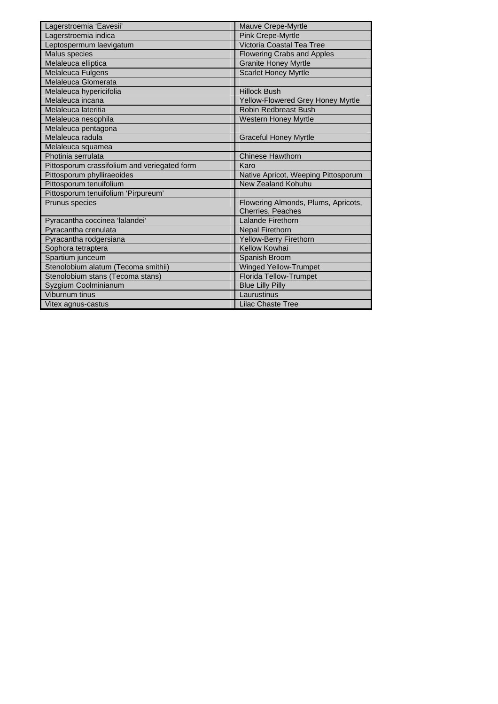| Lagerstroemia 'Eavesii'                      | Mauve Crepe-Myrtle                                       |
|----------------------------------------------|----------------------------------------------------------|
| Lagerstroemia indica                         | <b>Pink Crepe-Myrtle</b>                                 |
| Leptospermum laevigatum                      | Victoria Coastal Tea Tree                                |
| Malus species                                | <b>Flowering Crabs and Apples</b>                        |
| Melaleuca elliptica                          | <b>Granite Honey Myrtle</b>                              |
| Melaleuca Fulgens                            | <b>Scarlet Honey Myrtle</b>                              |
| Melaleuca Glomerata                          |                                                          |
| Melaleuca hypericifolia                      | <b>Hillock Bush</b>                                      |
| Melaleuca incana                             | Yellow-Flowered Grey Honey Myrtle                        |
| Melaleuca lateritia                          | <b>Robin Redbreast Bush</b>                              |
| Melaleuca nesophila                          | Western Honey Myrtle                                     |
| Melaleuca pentagona                          |                                                          |
| Melaleuca radula                             | <b>Graceful Honey Myrtle</b>                             |
| Melaleuca squamea                            |                                                          |
| Photinia serrulata                           | <b>Chinese Hawthorn</b>                                  |
| Pittosporum crassifolium and veriegated form | Karo                                                     |
| Pittosporum phylliraeoides                   | Native Apricot, Weeping Pittosporum                      |
| Pittosporum tenuifolium                      | New Zealand Kohuhu                                       |
| Pittosporum tenuifolium 'Pirpureum'          |                                                          |
| Prunus species                               | Flowering Almonds, Plums, Apricots,<br>Cherries, Peaches |
| Pyracantha coccinea 'lalandei'               | Lalande Firethorn                                        |
| Pyracantha crenulata                         | <b>Nepal Firethorn</b>                                   |
| Pyracantha rodgersiana                       | Yellow-Berry Firethorn                                   |
| Sophora tetraptera                           | Kellow Kowhai                                            |
| Spartium junceum                             | Spanish Broom                                            |
| Stenolobium alatum (Tecoma smithii)          | <b>Winged Yellow-Trumpet</b>                             |
| Stenolobium stans (Tecoma stans)             | <b>Florida Tellow-Trumpet</b>                            |
| Syzgium Coolminianum                         | <b>Blue Lilly Pilly</b>                                  |
| Viburnum tinus                               | Laurustinus                                              |
| Vitex agnus-castus                           | <b>Lilac Chaste Tree</b>                                 |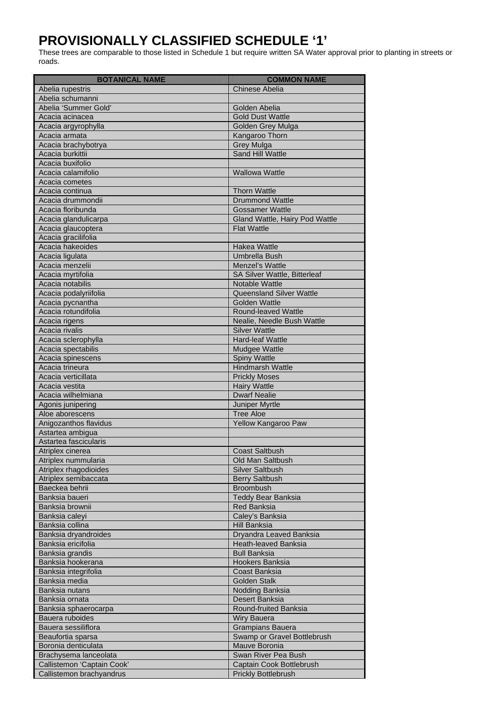# **PROVISIONALLY CLASSIFIED SCHEDULE '1'**

These trees are comparable to those listed in Schedule 1 but require written SA Water approval prior to planting in streets or roads.

| Botanica en 1970           | <u>eonnommun</u>                |
|----------------------------|---------------------------------|
| Abelia rupestris           | Chinese Abelia                  |
| Abelia schumanni           |                                 |
| Abelia 'Summer Gold'       | Golden Abelia                   |
| Acacia acinacea            | <b>Gold Dust Wattle</b>         |
| Acacia argyrophylla        | Golden Grey Mulga               |
| Acacia armata              | Kangaroo Thorn                  |
| Acacia brachybotrya        | <b>Grey Mulga</b>               |
| Acacia burkittii           | Sand Hill Wattle                |
| Acacia buxifolio           |                                 |
| Acacia calamifolio         | <b>Wallowa Wattle</b>           |
| Acacia cometes             |                                 |
| Acacia continua            | <b>Thorn Wattle</b>             |
| Acacia drummondii          | <b>Drummond Wattle</b>          |
| Acacia floribunda          | <b>Gossamer Wattle</b>          |
| Acacia glandulicarpa       | Gland Wattle, Hairy Pod Wattle  |
| Acacia glaucoptera         | <b>Flat Wattle</b>              |
| Acacia gracilifolia        |                                 |
| Acacia hakeoides           | <b>Hakea Wattle</b>             |
| Acacia ligulata            | Umbrella Bush                   |
| Acacia menzelii            | Menzel's Wattle                 |
| Acacia myrtifolia          | SA Silver Wattle, Bitterleaf    |
| Acacia notabilis           | Notable Wattle                  |
| Acacia podalyriifolia      | <b>Queensland Silver Wattle</b> |
| Acacia pycnantha           | <b>Golden Wattle</b>            |
| Acacia rotundifolia        | Round-leaved Wattle             |
| Acacia rigens              | Nealie, Needle Bush Wattle      |
| Acacia rivalis             | <b>Silver Wattle</b>            |
| Acacia sclerophylla        | Hard-leaf Wattle                |
| Acacia spectabilis         | Mudgee Wattle                   |
| Acacia spinescens          | <b>Spiny Wattle</b>             |
| Acacia trineura            | <b>Hindmarsh Wattle</b>         |
| Acacia verticillata        | <b>Prickly Moses</b>            |
| Acacia vestita             | <b>Hairy Wattle</b>             |
| Acacia wilhelmiana         | <b>Dwarf Nealie</b>             |
| Agonis junipering          | Juniper Myrtle                  |
| Aloe aborescens            | <b>Tree Aloe</b>                |
| Anigozanthos flavidus      | Yellow Kangaroo Paw             |
| Astartea ambigua           |                                 |
| Astartea fascicularis      |                                 |
| Atriplex cinerea           | Coast Saltbush                  |
| Atriplex nummularia        | Old Man Saltbush                |
| Atriplex rhagodioides      | <b>Silver Saltbush</b>          |
| Atriplex semibaccata       | <b>Berry Saltbush</b>           |
| Baeckea behrii             | <b>Broombush</b>                |
| Banksia baueri             | <b>Teddy Bear Banksia</b>       |
| Banksia brownii            | <b>Red Banksia</b>              |
| Banksia caleyi             | Calev's Banksia                 |
| Banksia collina            | <b>Hill Banksia</b>             |
| Banksia dryandroides       | Dryandra Leaved Banksia         |
| Banksia ericifolia         | Heath-leaved Banksia            |
| Banksia grandis            | <b>Bull Banksia</b>             |
| Banksia hookerana          | Hookers Banksia                 |
| Banksia integrifolia       | Coast Banksia                   |
| Banksia media              | <b>Golden Stalk</b>             |
| Banksia nutans             | Nodding Banksia                 |
| Banksia ornata             | Desert Banksia                  |
| Banksia sphaerocarpa       | Round-fruited Banksia           |
| Bauera ruboides            | <b>Wiry Bauera</b>              |
| Bauera sessiliflora        | <b>Grampians Bauera</b>         |
| Beaufortia sparsa          | Swamp or Gravel Bottlebrush     |
| Boronia denticulata        | Mauve Boronia                   |
| Brachysema lanceolata      | Swan River Pea Bush             |
| Callistemon 'Captain Cook' | Captain Cook Bottlebrush        |
| Callistemon brachyandrus   | Prickly Bottlebrush             |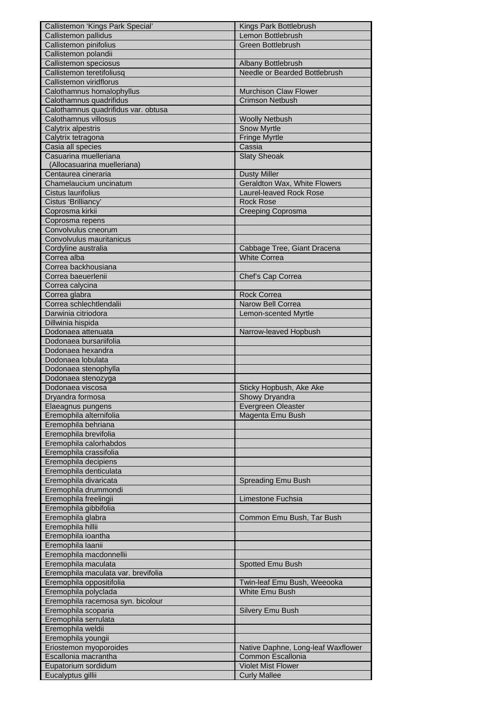| Callistemon 'Kings Park Special'                     | Kings Park Bottlebrush                                 |
|------------------------------------------------------|--------------------------------------------------------|
| Callistemon pallidus                                 | Lemon Bottlebrush                                      |
| Callistemon pinifolius                               | <b>Green Bottlebrush</b>                               |
| Callistemon polandii                                 |                                                        |
| Callistemon speciosus                                | Albany Bottlebrush                                     |
| Callistemon teretifoliusq                            | Needle or Bearded Bottlebrush                          |
| Callistemon viridflorus                              |                                                        |
| Calothamnus homalophyllus<br>Calothamnus quadrifidus | <b>Murchison Claw Flower</b><br><b>Crimson Netbush</b> |
| Calothamnus quadrifidus var. obtusa                  |                                                        |
| Calothamnus villosus                                 | <b>Woolly Netbush</b>                                  |
| Calytrix alpestris                                   | <b>Snow Myrtle</b>                                     |
| Calytrix tetragona                                   | <b>Fringe Myrtle</b>                                   |
| Casia all species                                    | Cassia                                                 |
| Casuarina muelleriana                                | <b>Slaty Sheoak</b>                                    |
| (Allocasuarina muelleriana)                          |                                                        |
| Centaurea cineraria                                  | <b>Dusty Miller</b>                                    |
| Chamelaucium uncinatum                               | Geraldton Wax, White Flowers                           |
| Cistus laurifolius<br>Cistus 'Brilliancy'            | Laurel-leaved Rock Rose                                |
| Coprosma kirkii                                      | <b>Rock Rose</b><br><b>Creeping Coprosma</b>           |
| Coprosma repens                                      |                                                        |
| Convolvulus cneorum                                  |                                                        |
| Convolvulus mauritanicus                             |                                                        |
| Cordyline australia                                  | Cabbage Tree, Giant Dracena                            |
| Correa alba                                          | <b>White Correa</b>                                    |
| Correa backhousiana                                  |                                                        |
| Correa baeuerlenii                                   | Chef's Cap Correa                                      |
| Correa calycina                                      |                                                        |
| Correa glabra                                        | <b>Rock Correa</b>                                     |
| Correa schlechtlendalii                              | Narow Bell Correa                                      |
| Darwinia citriodora                                  | Lemon-scented Myrtle                                   |
| Dillwinia hispida                                    |                                                        |
| Dodonaea attenuata<br>Dodonaea bursariifolia         | Narrow-leaved Hopbush                                  |
| Dodonaea hexandra                                    |                                                        |
| Dodonaea lobulata                                    |                                                        |
| Dodonaea stenophylla                                 |                                                        |
| Dodonaea stenozyga                                   |                                                        |
| Dodonaea viscosa                                     | Sticky Hopbush, Ake Ake                                |
| Dryandra formosa                                     | Showy Dryandra                                         |
| Elaeagnus pungens                                    | Evergreen Oleaster                                     |
| Eremophila alternifolia                              | Magenta Emu Bush                                       |
| Eremophila behriana                                  |                                                        |
| Eremophila brevifolia<br>Eremophila calorhabdos      |                                                        |
| Eremophila crassifolia                               |                                                        |
| Eremophila decipiens                                 |                                                        |
| Eremophila denticulata                               |                                                        |
| Eremophila divaricata                                | Spreading Emu Bush                                     |
| Eremophila drummondi                                 |                                                        |
| Eremophila freelingii                                | Limestone Fuchsia                                      |
| Eremophila gibbifolia                                |                                                        |
| Eremophila glabra                                    | Common Emu Bush, Tar Bush                              |
| Eremophila hillii                                    |                                                        |
| Eremophila ioantha                                   |                                                        |
| Eremophila laanii                                    |                                                        |
| Eremophila macdonnellii<br>Eremophila maculata       |                                                        |
| Eremophila maculata var. brevifolia                  | Spotted Emu Bush                                       |
| Eremophila oppositifolia                             | Twin-leaf Emu Bush, Weeooka                            |
| Eremophila polyclada                                 | White Emu Bush                                         |
| Eremophila racemosa syn. bicolour                    |                                                        |
| Eremophila scoparia                                  | Silvery Emu Bush                                       |
| Eremophila serrulata                                 |                                                        |
| Eremophila weldii                                    |                                                        |
| Eremophila youngii                                   |                                                        |
| Eriostemon myoporoides                               | Native Daphne, Long-leaf Waxflower                     |
| Escallonia macrantha                                 | Common Escallonia                                      |
| Eupatorium sordidum                                  | <b>Violet Mist Flower</b>                              |
| Eucalyptus gillii                                    | <b>Curly Mallee</b>                                    |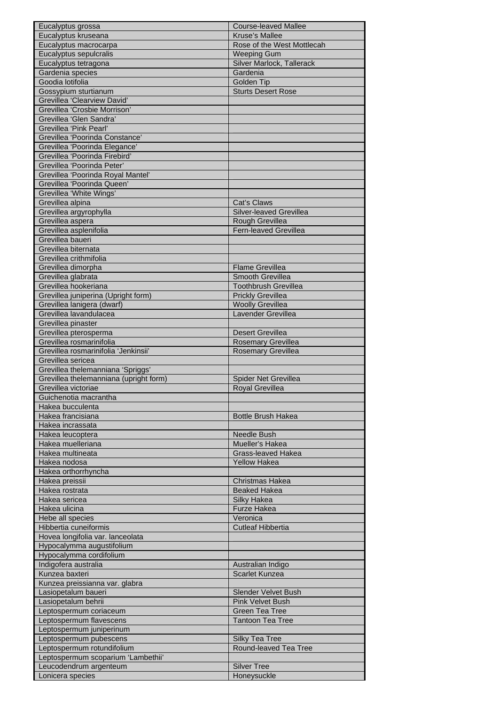| Eucalyptus kruseana<br><b>Kruse's Mallee</b><br>Eucalyptus macrocarpa<br>Rose of the West Mottlecah<br>Eucalyptus sepulcralis<br><b>Weeping Gum</b><br>Silver Marlock, Tallerack<br>Eucalyptus tetragona<br>Gardenia species<br>Gardenia<br>Goodia lotifolia<br>Golden Tip<br>Gossypium sturtianum<br><b>Sturts Desert Rose</b><br>Grevillea 'Clearview David'<br>Grevillea 'Crosbie Morrison'<br>Grevillea 'Glen Sandra'<br>Grevillea 'Pink Pearl'<br>Grevillea 'Poorinda Constance'<br>Grevillea 'Poorinda Elegance'<br>Grevillea 'Poorinda Firebird'<br>Grevillea 'Poorinda Peter'<br>Grevillea 'Poorinda Royal Mantel'<br>Grevillea 'Poorinda Queen'<br>Grevillea 'White Wings'<br>Grevillea alpina<br>Cat's Claws<br>Grevillea argyrophylla<br>Silver-leaved Grevillea<br>Rough Grevillea<br>Grevillea aspera<br>Grevillea asplenifolia<br><b>Fern-leaved Grevillea</b><br>Grevillea baueri<br>Grevillea biternata<br>Grevillea crithmifolia<br>Grevillea dimorpha<br><b>Flame Grevillea</b><br>Smooth Grevillea<br>Grevillea glabrata<br>Grevillea hookeriana<br><b>Toothbrush Grevillea</b><br><b>Prickly Grevillea</b><br>Grevillea juniperina (Upright form)<br><b>Woolly Grevillea</b><br>Grevillea lanigera (dwarf)<br>Grevillea lavandulacea<br>Lavender Grevillea<br>Grevillea pinaster<br>Grevillea pterosperma<br><b>Desert Grevillea</b><br>Grevillea rosmarinifolia<br><b>Rosemary Grevillea</b><br>Grevillea rosmarinifolia 'Jenkinsii'<br><b>Rosemary Grevillea</b><br>Grevillea sericea<br>Grevillea thelemanniana 'Spriggs'<br>Grevillea thelemanniana (upright form)<br>Spider Net Grevillea<br>Grevillea victoriae<br>Royal Grevillea<br>Guichenotia macrantha<br>Hakea bucculenta<br>Hakea francisiana<br><b>Bottle Brush Hakea</b><br>Hakea incrassata<br>Needle Bush<br>Hakea leucoptera<br>Hakea muelleriana<br>Mueller's Hakea<br>Hakea multineata<br><b>Grass-leaved Hakea</b><br><b>Yellow Hakea</b><br>Hakea nodosa<br>Hakea orthorrhyncha<br>Hakea preissii<br><b>Christmas Hakea</b><br>Hakea rostrata<br><b>Beaked Hakea</b><br>Silky Hakea<br>Hakea sericea<br>Hakea ulicina<br><b>Furze Hakea</b><br>Veronica<br>Hebe all species<br><b>Cutleaf Hibbertia</b><br>Hibbertia cuneiformis<br>Hovea longifolia var. lanceolata<br>Hypocalymma augustifolium<br>Hypocalymma cordifolium<br>Indigofera australia<br>Australian Indigo<br>Kunzea baxteri<br>Scarlet Kunzea<br>Kunzea preissianna var. glabra<br><b>Slender Velvet Bush</b><br>Lasiopetalum baueri<br>Lasiopetalum behrii<br><b>Pink Velvet Bush</b><br><b>Green Tea Tree</b><br>Leptospermum coriaceum<br>Leptospermum flavescens<br><b>Tantoon Tea Tree</b><br>Leptospermum juniperinum<br>Leptospermum pubescens<br><b>Silky Tea Tree</b><br>Leptospermum rotundifolium<br>Round-leaved Tea Tree<br>Leptospermum scoparium 'Lambethii'<br>Leucodendrum argenteum<br><b>Silver Tree</b> | Eucalyptus grossa | <b>Course-leaved Mallee</b> |
|---------------------------------------------------------------------------------------------------------------------------------------------------------------------------------------------------------------------------------------------------------------------------------------------------------------------------------------------------------------------------------------------------------------------------------------------------------------------------------------------------------------------------------------------------------------------------------------------------------------------------------------------------------------------------------------------------------------------------------------------------------------------------------------------------------------------------------------------------------------------------------------------------------------------------------------------------------------------------------------------------------------------------------------------------------------------------------------------------------------------------------------------------------------------------------------------------------------------------------------------------------------------------------------------------------------------------------------------------------------------------------------------------------------------------------------------------------------------------------------------------------------------------------------------------------------------------------------------------------------------------------------------------------------------------------------------------------------------------------------------------------------------------------------------------------------------------------------------------------------------------------------------------------------------------------------------------------------------------------------------------------------------------------------------------------------------------------------------------------------------------------------------------------------------------------------------------------------------------------------------------------------------------------------------------------------------------------------------------------------------------------------------------------------------------------------------------------------------------------------------------------------------------------------------------------------------------------------------------------------------------------------------------------------------------------------------------------------------------------------------------------------------------------------------------------------------------------------------------------------------------------------|-------------------|-----------------------------|
|                                                                                                                                                                                                                                                                                                                                                                                                                                                                                                                                                                                                                                                                                                                                                                                                                                                                                                                                                                                                                                                                                                                                                                                                                                                                                                                                                                                                                                                                                                                                                                                                                                                                                                                                                                                                                                                                                                                                                                                                                                                                                                                                                                                                                                                                                                                                                                                                                                                                                                                                                                                                                                                                                                                                                                                                                                                                                       |                   |                             |
|                                                                                                                                                                                                                                                                                                                                                                                                                                                                                                                                                                                                                                                                                                                                                                                                                                                                                                                                                                                                                                                                                                                                                                                                                                                                                                                                                                                                                                                                                                                                                                                                                                                                                                                                                                                                                                                                                                                                                                                                                                                                                                                                                                                                                                                                                                                                                                                                                                                                                                                                                                                                                                                                                                                                                                                                                                                                                       |                   |                             |
|                                                                                                                                                                                                                                                                                                                                                                                                                                                                                                                                                                                                                                                                                                                                                                                                                                                                                                                                                                                                                                                                                                                                                                                                                                                                                                                                                                                                                                                                                                                                                                                                                                                                                                                                                                                                                                                                                                                                                                                                                                                                                                                                                                                                                                                                                                                                                                                                                                                                                                                                                                                                                                                                                                                                                                                                                                                                                       |                   |                             |
|                                                                                                                                                                                                                                                                                                                                                                                                                                                                                                                                                                                                                                                                                                                                                                                                                                                                                                                                                                                                                                                                                                                                                                                                                                                                                                                                                                                                                                                                                                                                                                                                                                                                                                                                                                                                                                                                                                                                                                                                                                                                                                                                                                                                                                                                                                                                                                                                                                                                                                                                                                                                                                                                                                                                                                                                                                                                                       |                   |                             |
|                                                                                                                                                                                                                                                                                                                                                                                                                                                                                                                                                                                                                                                                                                                                                                                                                                                                                                                                                                                                                                                                                                                                                                                                                                                                                                                                                                                                                                                                                                                                                                                                                                                                                                                                                                                                                                                                                                                                                                                                                                                                                                                                                                                                                                                                                                                                                                                                                                                                                                                                                                                                                                                                                                                                                                                                                                                                                       |                   |                             |
|                                                                                                                                                                                                                                                                                                                                                                                                                                                                                                                                                                                                                                                                                                                                                                                                                                                                                                                                                                                                                                                                                                                                                                                                                                                                                                                                                                                                                                                                                                                                                                                                                                                                                                                                                                                                                                                                                                                                                                                                                                                                                                                                                                                                                                                                                                                                                                                                                                                                                                                                                                                                                                                                                                                                                                                                                                                                                       |                   |                             |
|                                                                                                                                                                                                                                                                                                                                                                                                                                                                                                                                                                                                                                                                                                                                                                                                                                                                                                                                                                                                                                                                                                                                                                                                                                                                                                                                                                                                                                                                                                                                                                                                                                                                                                                                                                                                                                                                                                                                                                                                                                                                                                                                                                                                                                                                                                                                                                                                                                                                                                                                                                                                                                                                                                                                                                                                                                                                                       |                   |                             |
|                                                                                                                                                                                                                                                                                                                                                                                                                                                                                                                                                                                                                                                                                                                                                                                                                                                                                                                                                                                                                                                                                                                                                                                                                                                                                                                                                                                                                                                                                                                                                                                                                                                                                                                                                                                                                                                                                                                                                                                                                                                                                                                                                                                                                                                                                                                                                                                                                                                                                                                                                                                                                                                                                                                                                                                                                                                                                       |                   |                             |
|                                                                                                                                                                                                                                                                                                                                                                                                                                                                                                                                                                                                                                                                                                                                                                                                                                                                                                                                                                                                                                                                                                                                                                                                                                                                                                                                                                                                                                                                                                                                                                                                                                                                                                                                                                                                                                                                                                                                                                                                                                                                                                                                                                                                                                                                                                                                                                                                                                                                                                                                                                                                                                                                                                                                                                                                                                                                                       |                   |                             |
|                                                                                                                                                                                                                                                                                                                                                                                                                                                                                                                                                                                                                                                                                                                                                                                                                                                                                                                                                                                                                                                                                                                                                                                                                                                                                                                                                                                                                                                                                                                                                                                                                                                                                                                                                                                                                                                                                                                                                                                                                                                                                                                                                                                                                                                                                                                                                                                                                                                                                                                                                                                                                                                                                                                                                                                                                                                                                       |                   |                             |
|                                                                                                                                                                                                                                                                                                                                                                                                                                                                                                                                                                                                                                                                                                                                                                                                                                                                                                                                                                                                                                                                                                                                                                                                                                                                                                                                                                                                                                                                                                                                                                                                                                                                                                                                                                                                                                                                                                                                                                                                                                                                                                                                                                                                                                                                                                                                                                                                                                                                                                                                                                                                                                                                                                                                                                                                                                                                                       |                   |                             |
|                                                                                                                                                                                                                                                                                                                                                                                                                                                                                                                                                                                                                                                                                                                                                                                                                                                                                                                                                                                                                                                                                                                                                                                                                                                                                                                                                                                                                                                                                                                                                                                                                                                                                                                                                                                                                                                                                                                                                                                                                                                                                                                                                                                                                                                                                                                                                                                                                                                                                                                                                                                                                                                                                                                                                                                                                                                                                       |                   |                             |
|                                                                                                                                                                                                                                                                                                                                                                                                                                                                                                                                                                                                                                                                                                                                                                                                                                                                                                                                                                                                                                                                                                                                                                                                                                                                                                                                                                                                                                                                                                                                                                                                                                                                                                                                                                                                                                                                                                                                                                                                                                                                                                                                                                                                                                                                                                                                                                                                                                                                                                                                                                                                                                                                                                                                                                                                                                                                                       |                   |                             |
|                                                                                                                                                                                                                                                                                                                                                                                                                                                                                                                                                                                                                                                                                                                                                                                                                                                                                                                                                                                                                                                                                                                                                                                                                                                                                                                                                                                                                                                                                                                                                                                                                                                                                                                                                                                                                                                                                                                                                                                                                                                                                                                                                                                                                                                                                                                                                                                                                                                                                                                                                                                                                                                                                                                                                                                                                                                                                       |                   |                             |
|                                                                                                                                                                                                                                                                                                                                                                                                                                                                                                                                                                                                                                                                                                                                                                                                                                                                                                                                                                                                                                                                                                                                                                                                                                                                                                                                                                                                                                                                                                                                                                                                                                                                                                                                                                                                                                                                                                                                                                                                                                                                                                                                                                                                                                                                                                                                                                                                                                                                                                                                                                                                                                                                                                                                                                                                                                                                                       |                   |                             |
|                                                                                                                                                                                                                                                                                                                                                                                                                                                                                                                                                                                                                                                                                                                                                                                                                                                                                                                                                                                                                                                                                                                                                                                                                                                                                                                                                                                                                                                                                                                                                                                                                                                                                                                                                                                                                                                                                                                                                                                                                                                                                                                                                                                                                                                                                                                                                                                                                                                                                                                                                                                                                                                                                                                                                                                                                                                                                       |                   |                             |
|                                                                                                                                                                                                                                                                                                                                                                                                                                                                                                                                                                                                                                                                                                                                                                                                                                                                                                                                                                                                                                                                                                                                                                                                                                                                                                                                                                                                                                                                                                                                                                                                                                                                                                                                                                                                                                                                                                                                                                                                                                                                                                                                                                                                                                                                                                                                                                                                                                                                                                                                                                                                                                                                                                                                                                                                                                                                                       |                   |                             |
|                                                                                                                                                                                                                                                                                                                                                                                                                                                                                                                                                                                                                                                                                                                                                                                                                                                                                                                                                                                                                                                                                                                                                                                                                                                                                                                                                                                                                                                                                                                                                                                                                                                                                                                                                                                                                                                                                                                                                                                                                                                                                                                                                                                                                                                                                                                                                                                                                                                                                                                                                                                                                                                                                                                                                                                                                                                                                       |                   |                             |
|                                                                                                                                                                                                                                                                                                                                                                                                                                                                                                                                                                                                                                                                                                                                                                                                                                                                                                                                                                                                                                                                                                                                                                                                                                                                                                                                                                                                                                                                                                                                                                                                                                                                                                                                                                                                                                                                                                                                                                                                                                                                                                                                                                                                                                                                                                                                                                                                                                                                                                                                                                                                                                                                                                                                                                                                                                                                                       |                   |                             |
|                                                                                                                                                                                                                                                                                                                                                                                                                                                                                                                                                                                                                                                                                                                                                                                                                                                                                                                                                                                                                                                                                                                                                                                                                                                                                                                                                                                                                                                                                                                                                                                                                                                                                                                                                                                                                                                                                                                                                                                                                                                                                                                                                                                                                                                                                                                                                                                                                                                                                                                                                                                                                                                                                                                                                                                                                                                                                       |                   |                             |
|                                                                                                                                                                                                                                                                                                                                                                                                                                                                                                                                                                                                                                                                                                                                                                                                                                                                                                                                                                                                                                                                                                                                                                                                                                                                                                                                                                                                                                                                                                                                                                                                                                                                                                                                                                                                                                                                                                                                                                                                                                                                                                                                                                                                                                                                                                                                                                                                                                                                                                                                                                                                                                                                                                                                                                                                                                                                                       |                   |                             |
|                                                                                                                                                                                                                                                                                                                                                                                                                                                                                                                                                                                                                                                                                                                                                                                                                                                                                                                                                                                                                                                                                                                                                                                                                                                                                                                                                                                                                                                                                                                                                                                                                                                                                                                                                                                                                                                                                                                                                                                                                                                                                                                                                                                                                                                                                                                                                                                                                                                                                                                                                                                                                                                                                                                                                                                                                                                                                       |                   |                             |
|                                                                                                                                                                                                                                                                                                                                                                                                                                                                                                                                                                                                                                                                                                                                                                                                                                                                                                                                                                                                                                                                                                                                                                                                                                                                                                                                                                                                                                                                                                                                                                                                                                                                                                                                                                                                                                                                                                                                                                                                                                                                                                                                                                                                                                                                                                                                                                                                                                                                                                                                                                                                                                                                                                                                                                                                                                                                                       |                   |                             |
|                                                                                                                                                                                                                                                                                                                                                                                                                                                                                                                                                                                                                                                                                                                                                                                                                                                                                                                                                                                                                                                                                                                                                                                                                                                                                                                                                                                                                                                                                                                                                                                                                                                                                                                                                                                                                                                                                                                                                                                                                                                                                                                                                                                                                                                                                                                                                                                                                                                                                                                                                                                                                                                                                                                                                                                                                                                                                       |                   |                             |
|                                                                                                                                                                                                                                                                                                                                                                                                                                                                                                                                                                                                                                                                                                                                                                                                                                                                                                                                                                                                                                                                                                                                                                                                                                                                                                                                                                                                                                                                                                                                                                                                                                                                                                                                                                                                                                                                                                                                                                                                                                                                                                                                                                                                                                                                                                                                                                                                                                                                                                                                                                                                                                                                                                                                                                                                                                                                                       |                   |                             |
|                                                                                                                                                                                                                                                                                                                                                                                                                                                                                                                                                                                                                                                                                                                                                                                                                                                                                                                                                                                                                                                                                                                                                                                                                                                                                                                                                                                                                                                                                                                                                                                                                                                                                                                                                                                                                                                                                                                                                                                                                                                                                                                                                                                                                                                                                                                                                                                                                                                                                                                                                                                                                                                                                                                                                                                                                                                                                       |                   |                             |
|                                                                                                                                                                                                                                                                                                                                                                                                                                                                                                                                                                                                                                                                                                                                                                                                                                                                                                                                                                                                                                                                                                                                                                                                                                                                                                                                                                                                                                                                                                                                                                                                                                                                                                                                                                                                                                                                                                                                                                                                                                                                                                                                                                                                                                                                                                                                                                                                                                                                                                                                                                                                                                                                                                                                                                                                                                                                                       |                   |                             |
|                                                                                                                                                                                                                                                                                                                                                                                                                                                                                                                                                                                                                                                                                                                                                                                                                                                                                                                                                                                                                                                                                                                                                                                                                                                                                                                                                                                                                                                                                                                                                                                                                                                                                                                                                                                                                                                                                                                                                                                                                                                                                                                                                                                                                                                                                                                                                                                                                                                                                                                                                                                                                                                                                                                                                                                                                                                                                       |                   |                             |
|                                                                                                                                                                                                                                                                                                                                                                                                                                                                                                                                                                                                                                                                                                                                                                                                                                                                                                                                                                                                                                                                                                                                                                                                                                                                                                                                                                                                                                                                                                                                                                                                                                                                                                                                                                                                                                                                                                                                                                                                                                                                                                                                                                                                                                                                                                                                                                                                                                                                                                                                                                                                                                                                                                                                                                                                                                                                                       |                   |                             |
|                                                                                                                                                                                                                                                                                                                                                                                                                                                                                                                                                                                                                                                                                                                                                                                                                                                                                                                                                                                                                                                                                                                                                                                                                                                                                                                                                                                                                                                                                                                                                                                                                                                                                                                                                                                                                                                                                                                                                                                                                                                                                                                                                                                                                                                                                                                                                                                                                                                                                                                                                                                                                                                                                                                                                                                                                                                                                       |                   |                             |
|                                                                                                                                                                                                                                                                                                                                                                                                                                                                                                                                                                                                                                                                                                                                                                                                                                                                                                                                                                                                                                                                                                                                                                                                                                                                                                                                                                                                                                                                                                                                                                                                                                                                                                                                                                                                                                                                                                                                                                                                                                                                                                                                                                                                                                                                                                                                                                                                                                                                                                                                                                                                                                                                                                                                                                                                                                                                                       |                   |                             |
|                                                                                                                                                                                                                                                                                                                                                                                                                                                                                                                                                                                                                                                                                                                                                                                                                                                                                                                                                                                                                                                                                                                                                                                                                                                                                                                                                                                                                                                                                                                                                                                                                                                                                                                                                                                                                                                                                                                                                                                                                                                                                                                                                                                                                                                                                                                                                                                                                                                                                                                                                                                                                                                                                                                                                                                                                                                                                       |                   |                             |
|                                                                                                                                                                                                                                                                                                                                                                                                                                                                                                                                                                                                                                                                                                                                                                                                                                                                                                                                                                                                                                                                                                                                                                                                                                                                                                                                                                                                                                                                                                                                                                                                                                                                                                                                                                                                                                                                                                                                                                                                                                                                                                                                                                                                                                                                                                                                                                                                                                                                                                                                                                                                                                                                                                                                                                                                                                                                                       |                   |                             |
|                                                                                                                                                                                                                                                                                                                                                                                                                                                                                                                                                                                                                                                                                                                                                                                                                                                                                                                                                                                                                                                                                                                                                                                                                                                                                                                                                                                                                                                                                                                                                                                                                                                                                                                                                                                                                                                                                                                                                                                                                                                                                                                                                                                                                                                                                                                                                                                                                                                                                                                                                                                                                                                                                                                                                                                                                                                                                       |                   |                             |
|                                                                                                                                                                                                                                                                                                                                                                                                                                                                                                                                                                                                                                                                                                                                                                                                                                                                                                                                                                                                                                                                                                                                                                                                                                                                                                                                                                                                                                                                                                                                                                                                                                                                                                                                                                                                                                                                                                                                                                                                                                                                                                                                                                                                                                                                                                                                                                                                                                                                                                                                                                                                                                                                                                                                                                                                                                                                                       |                   |                             |
|                                                                                                                                                                                                                                                                                                                                                                                                                                                                                                                                                                                                                                                                                                                                                                                                                                                                                                                                                                                                                                                                                                                                                                                                                                                                                                                                                                                                                                                                                                                                                                                                                                                                                                                                                                                                                                                                                                                                                                                                                                                                                                                                                                                                                                                                                                                                                                                                                                                                                                                                                                                                                                                                                                                                                                                                                                                                                       |                   |                             |
|                                                                                                                                                                                                                                                                                                                                                                                                                                                                                                                                                                                                                                                                                                                                                                                                                                                                                                                                                                                                                                                                                                                                                                                                                                                                                                                                                                                                                                                                                                                                                                                                                                                                                                                                                                                                                                                                                                                                                                                                                                                                                                                                                                                                                                                                                                                                                                                                                                                                                                                                                                                                                                                                                                                                                                                                                                                                                       |                   |                             |
|                                                                                                                                                                                                                                                                                                                                                                                                                                                                                                                                                                                                                                                                                                                                                                                                                                                                                                                                                                                                                                                                                                                                                                                                                                                                                                                                                                                                                                                                                                                                                                                                                                                                                                                                                                                                                                                                                                                                                                                                                                                                                                                                                                                                                                                                                                                                                                                                                                                                                                                                                                                                                                                                                                                                                                                                                                                                                       |                   |                             |
|                                                                                                                                                                                                                                                                                                                                                                                                                                                                                                                                                                                                                                                                                                                                                                                                                                                                                                                                                                                                                                                                                                                                                                                                                                                                                                                                                                                                                                                                                                                                                                                                                                                                                                                                                                                                                                                                                                                                                                                                                                                                                                                                                                                                                                                                                                                                                                                                                                                                                                                                                                                                                                                                                                                                                                                                                                                                                       |                   |                             |
|                                                                                                                                                                                                                                                                                                                                                                                                                                                                                                                                                                                                                                                                                                                                                                                                                                                                                                                                                                                                                                                                                                                                                                                                                                                                                                                                                                                                                                                                                                                                                                                                                                                                                                                                                                                                                                                                                                                                                                                                                                                                                                                                                                                                                                                                                                                                                                                                                                                                                                                                                                                                                                                                                                                                                                                                                                                                                       |                   |                             |
|                                                                                                                                                                                                                                                                                                                                                                                                                                                                                                                                                                                                                                                                                                                                                                                                                                                                                                                                                                                                                                                                                                                                                                                                                                                                                                                                                                                                                                                                                                                                                                                                                                                                                                                                                                                                                                                                                                                                                                                                                                                                                                                                                                                                                                                                                                                                                                                                                                                                                                                                                                                                                                                                                                                                                                                                                                                                                       |                   |                             |
|                                                                                                                                                                                                                                                                                                                                                                                                                                                                                                                                                                                                                                                                                                                                                                                                                                                                                                                                                                                                                                                                                                                                                                                                                                                                                                                                                                                                                                                                                                                                                                                                                                                                                                                                                                                                                                                                                                                                                                                                                                                                                                                                                                                                                                                                                                                                                                                                                                                                                                                                                                                                                                                                                                                                                                                                                                                                                       |                   |                             |
|                                                                                                                                                                                                                                                                                                                                                                                                                                                                                                                                                                                                                                                                                                                                                                                                                                                                                                                                                                                                                                                                                                                                                                                                                                                                                                                                                                                                                                                                                                                                                                                                                                                                                                                                                                                                                                                                                                                                                                                                                                                                                                                                                                                                                                                                                                                                                                                                                                                                                                                                                                                                                                                                                                                                                                                                                                                                                       |                   |                             |
|                                                                                                                                                                                                                                                                                                                                                                                                                                                                                                                                                                                                                                                                                                                                                                                                                                                                                                                                                                                                                                                                                                                                                                                                                                                                                                                                                                                                                                                                                                                                                                                                                                                                                                                                                                                                                                                                                                                                                                                                                                                                                                                                                                                                                                                                                                                                                                                                                                                                                                                                                                                                                                                                                                                                                                                                                                                                                       |                   |                             |
|                                                                                                                                                                                                                                                                                                                                                                                                                                                                                                                                                                                                                                                                                                                                                                                                                                                                                                                                                                                                                                                                                                                                                                                                                                                                                                                                                                                                                                                                                                                                                                                                                                                                                                                                                                                                                                                                                                                                                                                                                                                                                                                                                                                                                                                                                                                                                                                                                                                                                                                                                                                                                                                                                                                                                                                                                                                                                       |                   |                             |
|                                                                                                                                                                                                                                                                                                                                                                                                                                                                                                                                                                                                                                                                                                                                                                                                                                                                                                                                                                                                                                                                                                                                                                                                                                                                                                                                                                                                                                                                                                                                                                                                                                                                                                                                                                                                                                                                                                                                                                                                                                                                                                                                                                                                                                                                                                                                                                                                                                                                                                                                                                                                                                                                                                                                                                                                                                                                                       |                   |                             |
|                                                                                                                                                                                                                                                                                                                                                                                                                                                                                                                                                                                                                                                                                                                                                                                                                                                                                                                                                                                                                                                                                                                                                                                                                                                                                                                                                                                                                                                                                                                                                                                                                                                                                                                                                                                                                                                                                                                                                                                                                                                                                                                                                                                                                                                                                                                                                                                                                                                                                                                                                                                                                                                                                                                                                                                                                                                                                       |                   |                             |
|                                                                                                                                                                                                                                                                                                                                                                                                                                                                                                                                                                                                                                                                                                                                                                                                                                                                                                                                                                                                                                                                                                                                                                                                                                                                                                                                                                                                                                                                                                                                                                                                                                                                                                                                                                                                                                                                                                                                                                                                                                                                                                                                                                                                                                                                                                                                                                                                                                                                                                                                                                                                                                                                                                                                                                                                                                                                                       |                   |                             |
|                                                                                                                                                                                                                                                                                                                                                                                                                                                                                                                                                                                                                                                                                                                                                                                                                                                                                                                                                                                                                                                                                                                                                                                                                                                                                                                                                                                                                                                                                                                                                                                                                                                                                                                                                                                                                                                                                                                                                                                                                                                                                                                                                                                                                                                                                                                                                                                                                                                                                                                                                                                                                                                                                                                                                                                                                                                                                       |                   |                             |
|                                                                                                                                                                                                                                                                                                                                                                                                                                                                                                                                                                                                                                                                                                                                                                                                                                                                                                                                                                                                                                                                                                                                                                                                                                                                                                                                                                                                                                                                                                                                                                                                                                                                                                                                                                                                                                                                                                                                                                                                                                                                                                                                                                                                                                                                                                                                                                                                                                                                                                                                                                                                                                                                                                                                                                                                                                                                                       |                   |                             |
|                                                                                                                                                                                                                                                                                                                                                                                                                                                                                                                                                                                                                                                                                                                                                                                                                                                                                                                                                                                                                                                                                                                                                                                                                                                                                                                                                                                                                                                                                                                                                                                                                                                                                                                                                                                                                                                                                                                                                                                                                                                                                                                                                                                                                                                                                                                                                                                                                                                                                                                                                                                                                                                                                                                                                                                                                                                                                       |                   |                             |
|                                                                                                                                                                                                                                                                                                                                                                                                                                                                                                                                                                                                                                                                                                                                                                                                                                                                                                                                                                                                                                                                                                                                                                                                                                                                                                                                                                                                                                                                                                                                                                                                                                                                                                                                                                                                                                                                                                                                                                                                                                                                                                                                                                                                                                                                                                                                                                                                                                                                                                                                                                                                                                                                                                                                                                                                                                                                                       |                   |                             |
|                                                                                                                                                                                                                                                                                                                                                                                                                                                                                                                                                                                                                                                                                                                                                                                                                                                                                                                                                                                                                                                                                                                                                                                                                                                                                                                                                                                                                                                                                                                                                                                                                                                                                                                                                                                                                                                                                                                                                                                                                                                                                                                                                                                                                                                                                                                                                                                                                                                                                                                                                                                                                                                                                                                                                                                                                                                                                       |                   |                             |
|                                                                                                                                                                                                                                                                                                                                                                                                                                                                                                                                                                                                                                                                                                                                                                                                                                                                                                                                                                                                                                                                                                                                                                                                                                                                                                                                                                                                                                                                                                                                                                                                                                                                                                                                                                                                                                                                                                                                                                                                                                                                                                                                                                                                                                                                                                                                                                                                                                                                                                                                                                                                                                                                                                                                                                                                                                                                                       |                   |                             |
|                                                                                                                                                                                                                                                                                                                                                                                                                                                                                                                                                                                                                                                                                                                                                                                                                                                                                                                                                                                                                                                                                                                                                                                                                                                                                                                                                                                                                                                                                                                                                                                                                                                                                                                                                                                                                                                                                                                                                                                                                                                                                                                                                                                                                                                                                                                                                                                                                                                                                                                                                                                                                                                                                                                                                                                                                                                                                       |                   |                             |
|                                                                                                                                                                                                                                                                                                                                                                                                                                                                                                                                                                                                                                                                                                                                                                                                                                                                                                                                                                                                                                                                                                                                                                                                                                                                                                                                                                                                                                                                                                                                                                                                                                                                                                                                                                                                                                                                                                                                                                                                                                                                                                                                                                                                                                                                                                                                                                                                                                                                                                                                                                                                                                                                                                                                                                                                                                                                                       |                   |                             |
|                                                                                                                                                                                                                                                                                                                                                                                                                                                                                                                                                                                                                                                                                                                                                                                                                                                                                                                                                                                                                                                                                                                                                                                                                                                                                                                                                                                                                                                                                                                                                                                                                                                                                                                                                                                                                                                                                                                                                                                                                                                                                                                                                                                                                                                                                                                                                                                                                                                                                                                                                                                                                                                                                                                                                                                                                                                                                       |                   |                             |
|                                                                                                                                                                                                                                                                                                                                                                                                                                                                                                                                                                                                                                                                                                                                                                                                                                                                                                                                                                                                                                                                                                                                                                                                                                                                                                                                                                                                                                                                                                                                                                                                                                                                                                                                                                                                                                                                                                                                                                                                                                                                                                                                                                                                                                                                                                                                                                                                                                                                                                                                                                                                                                                                                                                                                                                                                                                                                       |                   |                             |
|                                                                                                                                                                                                                                                                                                                                                                                                                                                                                                                                                                                                                                                                                                                                                                                                                                                                                                                                                                                                                                                                                                                                                                                                                                                                                                                                                                                                                                                                                                                                                                                                                                                                                                                                                                                                                                                                                                                                                                                                                                                                                                                                                                                                                                                                                                                                                                                                                                                                                                                                                                                                                                                                                                                                                                                                                                                                                       |                   |                             |
|                                                                                                                                                                                                                                                                                                                                                                                                                                                                                                                                                                                                                                                                                                                                                                                                                                                                                                                                                                                                                                                                                                                                                                                                                                                                                                                                                                                                                                                                                                                                                                                                                                                                                                                                                                                                                                                                                                                                                                                                                                                                                                                                                                                                                                                                                                                                                                                                                                                                                                                                                                                                                                                                                                                                                                                                                                                                                       |                   |                             |
|                                                                                                                                                                                                                                                                                                                                                                                                                                                                                                                                                                                                                                                                                                                                                                                                                                                                                                                                                                                                                                                                                                                                                                                                                                                                                                                                                                                                                                                                                                                                                                                                                                                                                                                                                                                                                                                                                                                                                                                                                                                                                                                                                                                                                                                                                                                                                                                                                                                                                                                                                                                                                                                                                                                                                                                                                                                                                       |                   |                             |
|                                                                                                                                                                                                                                                                                                                                                                                                                                                                                                                                                                                                                                                                                                                                                                                                                                                                                                                                                                                                                                                                                                                                                                                                                                                                                                                                                                                                                                                                                                                                                                                                                                                                                                                                                                                                                                                                                                                                                                                                                                                                                                                                                                                                                                                                                                                                                                                                                                                                                                                                                                                                                                                                                                                                                                                                                                                                                       |                   |                             |
|                                                                                                                                                                                                                                                                                                                                                                                                                                                                                                                                                                                                                                                                                                                                                                                                                                                                                                                                                                                                                                                                                                                                                                                                                                                                                                                                                                                                                                                                                                                                                                                                                                                                                                                                                                                                                                                                                                                                                                                                                                                                                                                                                                                                                                                                                                                                                                                                                                                                                                                                                                                                                                                                                                                                                                                                                                                                                       |                   |                             |
|                                                                                                                                                                                                                                                                                                                                                                                                                                                                                                                                                                                                                                                                                                                                                                                                                                                                                                                                                                                                                                                                                                                                                                                                                                                                                                                                                                                                                                                                                                                                                                                                                                                                                                                                                                                                                                                                                                                                                                                                                                                                                                                                                                                                                                                                                                                                                                                                                                                                                                                                                                                                                                                                                                                                                                                                                                                                                       |                   |                             |
|                                                                                                                                                                                                                                                                                                                                                                                                                                                                                                                                                                                                                                                                                                                                                                                                                                                                                                                                                                                                                                                                                                                                                                                                                                                                                                                                                                                                                                                                                                                                                                                                                                                                                                                                                                                                                                                                                                                                                                                                                                                                                                                                                                                                                                                                                                                                                                                                                                                                                                                                                                                                                                                                                                                                                                                                                                                                                       |                   |                             |
|                                                                                                                                                                                                                                                                                                                                                                                                                                                                                                                                                                                                                                                                                                                                                                                                                                                                                                                                                                                                                                                                                                                                                                                                                                                                                                                                                                                                                                                                                                                                                                                                                                                                                                                                                                                                                                                                                                                                                                                                                                                                                                                                                                                                                                                                                                                                                                                                                                                                                                                                                                                                                                                                                                                                                                                                                                                                                       |                   |                             |
|                                                                                                                                                                                                                                                                                                                                                                                                                                                                                                                                                                                                                                                                                                                                                                                                                                                                                                                                                                                                                                                                                                                                                                                                                                                                                                                                                                                                                                                                                                                                                                                                                                                                                                                                                                                                                                                                                                                                                                                                                                                                                                                                                                                                                                                                                                                                                                                                                                                                                                                                                                                                                                                                                                                                                                                                                                                                                       | Lonicera species  | Honeysuckle                 |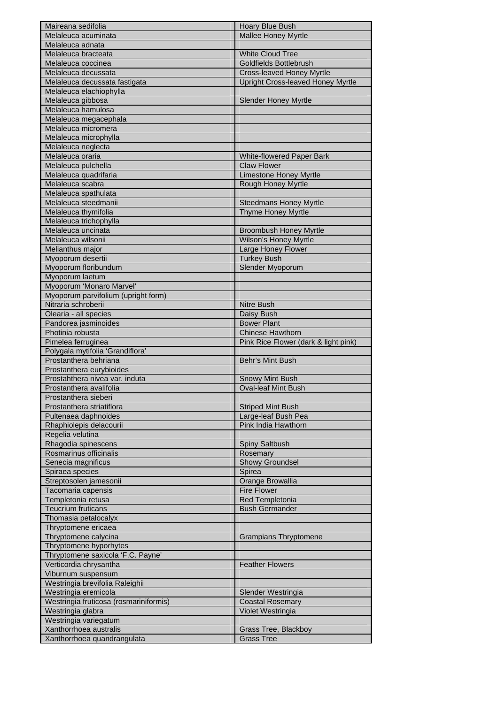| Maireana sedifolia                          | Hoary Blue Bush                          |
|---------------------------------------------|------------------------------------------|
| Melaleuca acuminata                         | Mallee Honey Myrtle                      |
| Melaleuca adnata                            |                                          |
| Melaleuca bracteata                         | White Cloud Tree                         |
| Melaleuca coccinea                          | Goldfields Bottlebrush                   |
| Melaleuca decussata                         | Cross-leaved Honey Myrtle                |
| Melaleuca decussata fastigata               | <b>Upright Cross-leaved Honey Myrtle</b> |
| Melaleuca elachiophylla                     |                                          |
| Melaleuca gibbosa                           | <b>Slender Honey Myrtle</b>              |
| Melaleuca hamulosa                          |                                          |
| Melaleuca megacephala                       |                                          |
| Melaleuca micromera                         |                                          |
| Melaleuca microphylla                       |                                          |
| Melaleuca neglecta                          |                                          |
| Melaleuca oraria                            | White-flowered Paper Bark                |
| Melaleuca pulchella                         | <b>Claw Flower</b>                       |
| Melaleuca quadrifaria                       | <b>Limestone Honey Myrtle</b>            |
| Melaleuca scabra                            | Rough Honey Myrtle                       |
| Melaleuca spathulata                        |                                          |
| Melaleuca steedmanii                        | <b>Steedmans Honey Myrtle</b>            |
| Melaleuca thymifolia                        | <b>Thyme Honey Myrtle</b>                |
| Melaleuca trichophylla                      |                                          |
| Melaleuca uncinata                          | <b>Broombush Honey Myrtle</b>            |
| Melaleuca wilsonii                          | Wilson's Honey Myrtle                    |
| Melianthus major                            | Large Honey Flower                       |
| Myoporum desertii                           | <b>Turkey Bush</b>                       |
| Myoporum floribundum                        | Slender Myoporum                         |
|                                             |                                          |
| Myoporum laetum<br>Myoporum 'Monaro Marvel' |                                          |
|                                             |                                          |
| Myoporum parvifolium (upright form)         |                                          |
| Nitraria schroberii                         | <b>Nitre Bush</b>                        |
| Olearia - all species                       | Daisy Bush                               |
| Pandorea jasminoides                        | <b>Bower Plant</b>                       |
| Photinia robusta                            | <b>Chinese Hawthorn</b>                  |
| Pimelea ferruginea                          | Pink Rice Flower (dark & light pink)     |
| Polygala mytifolia 'Grandiflora'            |                                          |
| Prostanthera behriana                       | Behr's Mint Bush                         |
| Prostanthera eurybioides                    |                                          |
| Prostahthera nivea var. induta              | <b>Snowy Mint Bush</b>                   |
| Prostanthera avalifolia                     | <b>Oval-leaf Mint Bush</b>               |
| Prostanthera sieberi                        |                                          |
| Prostanthera striatiflora                   | <b>Striped Mint Bush</b>                 |
| Pultenaea daphnoides                        | Large-leaf Bush Pea                      |
| Rhaphiolepis delacourii                     | Pink India Hawthorn                      |
| Regelia velutina                            |                                          |
| Rhagodia spinescens                         | Spiny Saltbush                           |
| Rosmarinus officinalis                      | Rosemary                                 |
| Senecia magnificus                          | Showy Groundsel                          |
| Spiraea species                             | Spirea                                   |
| Streptosolen jamesonii                      | Orange Browallia                         |
| Tacomaria capensis                          | <b>Fire Flower</b>                       |
| Templetonia retusa                          | Red Templetonia                          |
| <b>Teucrium fruticans</b>                   | <b>Bush Germander</b>                    |
| Thomasia petalocalyx                        |                                          |
| Thryptomene ericaea                         |                                          |
| Thryptomene calycina                        | <b>Grampians Thryptomene</b>             |
| Thryptomene hyporhytes                      |                                          |
| Thryptomene saxicola 'F.C. Payne'           |                                          |
| Verticordia chrysantha                      | <b>Feather Flowers</b>                   |
| Viburnum suspensum                          |                                          |
| Westringia brevifolia Raleighii             |                                          |
| Westringia eremicola                        | Slender Westringia                       |
| Westringia fruticosa (rosmariniformis)      | <b>Coastal Rosemary</b>                  |
| Westringia glabra                           | Violet Westringia                        |
| Westringia variegatum                       |                                          |
|                                             |                                          |
| Xanthorrhoea australis                      | Grass Tree, Blackboy                     |
| Xanthorrhoea quandrangulata                 | <b>Grass Tree</b>                        |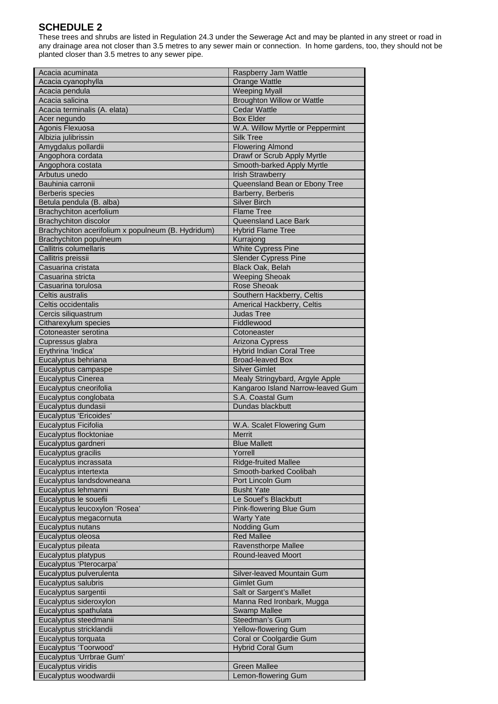# **SCHEDULE 2**

These trees and shrubs are listed in Regulation 24.3 under the Sewerage Act and may be planted in any street or road in any drainage area not closer than 3.5 metres to any sewer main or connection. In home gardens, too, they should not be planted closer than 3.5 metres to any sewer pipe.

| Acacia acuminata                                   | Raspberry Jam Wattle                       |
|----------------------------------------------------|--------------------------------------------|
| Acacia cyanophylla                                 | Orange Wattle                              |
| Acacia pendula                                     | <b>Weeping Myall</b>                       |
| Acacia salicina                                    | <b>Broughton Willow or Wattle</b>          |
| Acacia terminalis (A. elata)                       | <b>Cedar Wattle</b>                        |
| Acer negundo                                       | <b>Box Elder</b>                           |
| Agonis Flexuosa                                    | W.A. Willow Myrtle or Peppermint           |
| Albizia julibrissin                                | <b>Silk Tree</b>                           |
| Amygdalus pollardii                                | <b>Flowering Almond</b>                    |
| Angophora cordata                                  | Drawf or Scrub Apply Myrtle                |
| Angophora costata                                  | Smooth-barked Apply Myrtle                 |
| Arbutus unedo                                      | <b>Irish Strawberry</b>                    |
| Bauhinia carronii                                  | Queensland Bean or Ebony Tree              |
| Berberis species                                   | Barberry, Berberis                         |
| Betula pendula (B. alba)                           | <b>Silver Birch</b>                        |
| Brachychiton acerfolium                            |                                            |
|                                                    | <b>Flame Tree</b>                          |
| <b>Brachychiton discolor</b>                       | Queensland Lace Bark                       |
| Brachychiton acerifolium x populneum (B. Hydridum) | <b>Hybrid Flame Tree</b>                   |
| Brachychiton populneum                             | Kurrajong                                  |
| <b>Callitris columellaris</b>                      | White Cypress Pine                         |
| Callitris preissii                                 | <b>Slender Cypress Pine</b>                |
| Casuarina cristata                                 | Black Oak, Belah                           |
| Casuarina stricta                                  | <b>Weeping Sheoak</b>                      |
| Casuarina torulosa                                 | Rose Sheoak                                |
| Celtis australis                                   | Southern Hackberry, Celtis                 |
| Celtis occidentalis                                | Americal Hackberry, Celtis                 |
| Cercis siliquastrum                                | <b>Judas Tree</b>                          |
| Citharexylum species                               | Fiddlewood                                 |
| Cotoneaster serotina                               | Cotoneaster                                |
| Cupressus glabra                                   | Arizona Cypress                            |
| Erythrina 'Indica'                                 | <b>Hybrid Indian Coral Tree</b>            |
| Eucalyptus behriana                                | <b>Broad-leaved Box</b>                    |
| Eucalyptus campaspe                                | <b>Silver Gimlet</b>                       |
| <b>Eucalyptus Cinerea</b>                          | Mealy Stringybard, Argyle Apple            |
| Eucalyptus cneorifolia                             | Kangaroo Island Narrow-leaved Gum          |
| Eucalyptus conglobata                              | S.A. Coastal Gum                           |
| Eucalyptus dundasii                                | Dundas blackbutt                           |
| Eucalyptus 'Ericoides'                             |                                            |
| Eucalyptus Ficifolia                               | W.A. Scalet Flowering Gum                  |
| Eucalyptus flocktoniae                             | <b>Merrit</b>                              |
| Eucalyptus gardneri                                | <b>Blue Mallett</b>                        |
| Eucalyptus gracilis                                | Yorrell                                    |
| Eucalyptus incrassata                              | <b>Ridge-fruited Mallee</b>                |
| Eucalyptus intertexta                              | Smooth-barked Coolibah                     |
| Eucalyptus landsdowneana                           |                                            |
|                                                    | Port Lincoln Gum                           |
|                                                    |                                            |
| Eucalyptus lehmanni                                | <b>Busht Yate</b>                          |
| Eucalyptus le souefii                              | Le Souef's Blackbutt                       |
| Eucalyptus leucoxylon 'Rosea'                      | Pink-flowering Blue Gum                    |
| Eucalyptus megacornuta                             | <b>Warty Yate</b>                          |
| Eucalyptus nutans                                  | Nodding Gum                                |
| Eucalyptus oleosa                                  | <b>Red Mallee</b>                          |
| Eucalyptus pileata                                 | Ravensthorpe Mallee                        |
| Eucalyptus platypus                                | Round-leaved Moort                         |
| Eucalyptus 'Pterocarpa'                            |                                            |
| Eucalyptus pulverulenta                            | Silver-leaved Mountain Gum                 |
| Eucalyptus salubris                                | <b>Gimlet Gum</b>                          |
| Eucalyptus sargentii                               | Salt or Sargent's Mallet                   |
| Eucalyptus sideroxylon                             | Manna Red Ironbark, Mugga                  |
| Eucalyptus spathulata                              | <b>Swamp Mallee</b>                        |
| Eucalyptus steedmanii                              | Steedman's Gum                             |
| Eucalyptus stricklandii                            | Yellow-flowering Gum                       |
| Eucalyptus torquata                                | Coral or Coolgardie Gum                    |
| Eucalyptus 'Toorwood'                              | <b>Hybrid Coral Gum</b>                    |
| Eucalyptus 'Urrbrae Gum'                           |                                            |
| Eucalyptus viridis<br>Eucalyptus woodwardii        | <b>Green Mallee</b><br>Lemon-flowering Gum |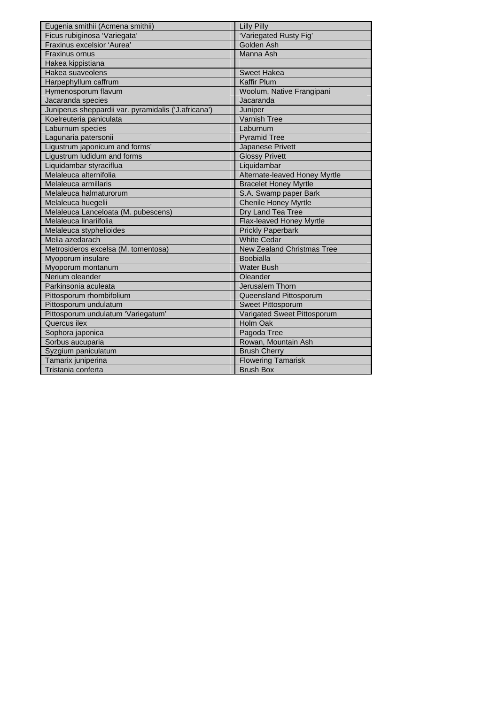| Eugenia smithii (Acmena smithii)                     | <b>Lilly Pilly</b>            |
|------------------------------------------------------|-------------------------------|
| Ficus rubiginosa 'Variegata'                         | 'Variegated Rusty Fig'        |
| Fraxinus excelsior 'Aurea'                           | Golden Ash                    |
| <b>Fraxinus ornus</b>                                | Manna Ash                     |
| Hakea kippistiana                                    |                               |
| Hakea suaveolens                                     | <b>Sweet Hakea</b>            |
| Harpephyllum caffrum                                 | <b>Kaffir Plum</b>            |
| Hymenosporum flavum                                  | Woolum, Native Frangipani     |
| Jacaranda species                                    | Jacaranda                     |
| Juniperus sheppardii var. pyramidalis ('J.africana') | Juniper                       |
| Koelreuteria paniculata                              | <b>Varnish Tree</b>           |
| Laburnum species                                     | Laburnum                      |
| Lagunaria patersonii                                 | <b>Pyramid Tree</b>           |
| Ligustrum japonicum and forms'                       | Japanese Privett              |
| Ligustrum ludidum and forms                          | <b>Glossy Privett</b>         |
| Liquidambar styraciflua                              | Liquidambar                   |
| Melaleuca alternifolia                               | Alternate-leaved Honey Myrtle |
| Melaleuca armillaris                                 | <b>Bracelet Honey Myrtle</b>  |
| Melaleuca halmaturorum                               | S.A. Swamp paper Bark         |
| Melaleuca huegelii                                   | <b>Chenile Honey Myrtle</b>   |
| Melaleuca Lanceloata (M. pubescens)                  | Dry Land Tea Tree             |
| Melaleuca linariifolia                               | Flax-leaved Honey Myrtle      |
| Melaleuca styphelioides                              | <b>Prickly Paperbark</b>      |
| Melia azedarach                                      | <b>White Cedar</b>            |
| Metrosideros excelsa (M. tomentosa)                  | New Zealand Christmas Tree    |
| Myoporum insulare                                    | <b>Boobialla</b>              |
| Myoporum montanum                                    | <b>Water Bush</b>             |
| Nerium oleander                                      | Oleander                      |
| Parkinsonia aculeata                                 | Jerusalem Thorn               |
| Pittosporum rhombifolium                             | Queensland Pittosporum        |
| Pittosporum undulatum                                | Sweet Pittosporum             |
| Pittosporum undulatum 'Variegatum'                   | Varigated Sweet Pittosporum   |
| Quercus ilex                                         | <b>Holm Oak</b>               |
| Sophora japonica                                     | Pagoda Tree                   |
| Sorbus aucuparia                                     | Rowan, Mountain Ash           |
| Syzgium paniculatum                                  | <b>Brush Cherry</b>           |
| Tamarix juniperina                                   | <b>Flowering Tamarisk</b>     |
| Tristania conferta                                   | <b>Brush Box</b>              |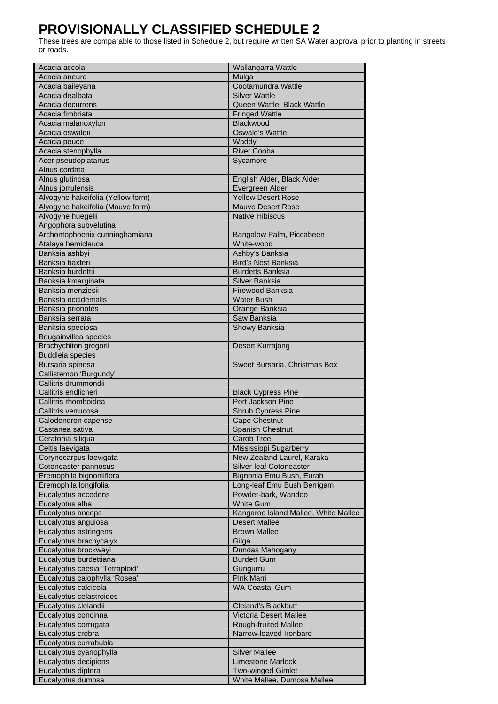# **PROVISIONALLY CLASSIFIED SCHEDULE 2**

These trees are comparable to those listed in Schedule 2, but require written SA Water approval prior to planting in streets or roads.

| Acacia accola                                  | Wallangarra Wattle                    |
|------------------------------------------------|---------------------------------------|
| Acacia aneura                                  | Mulga                                 |
| Acacia baileyana                               | Cootamundra Wattle                    |
| Acacia dealbata                                | <b>Silver Wattle</b>                  |
| Acacia decurrens                               | Queen Wattle, Black Wattle            |
| Acacia fimbriata                               | <b>Fringed Wattle</b>                 |
| Acacia malanoxylon                             | Blackwood                             |
| Acacia oswaldii                                | <b>Oswald's Wattle</b>                |
| Acacia peuce                                   | Waddy                                 |
| Acacia stenophylla                             | <b>River Cooba</b>                    |
| Acer pseudoplatanus                            | Sycamore                              |
| Alnus cordata                                  |                                       |
| Alnus glutinosa                                | English Alder, Black Alder            |
| Alnus jorrulensis                              | Evergreen Alder                       |
| Alyogyne hakeifolia (Yellow form)              | <b>Yellow Desert Rose</b>             |
| Alyogyne hakeifolia (Mauve form)               | <b>Mauve Desert Rose</b>              |
| Alyogyne huegelii                              | <b>Native Hibiscus</b>                |
| Angophora subvelutina                          |                                       |
| Archontophoenix cunninghamiana                 | Bangalow Palm, Piccabeen              |
| Atalaya hemiclauca                             | White-wood                            |
| Banksia ashbyi                                 | Ashby's Banksia                       |
| Banksia baxteri                                | <b>Bird's Nest Banksia</b>            |
| Banksia burdettii                              | <b>Burdetts Banksia</b>               |
| Banksia kmarginata                             | Silver Banksia                        |
| Banksia menziesii<br>Banksia occidentalis      | Firewood Banksia<br><b>Water Bush</b> |
|                                                |                                       |
| Banksia prionotes                              | Orange Banksia                        |
| Banksia serrata<br>Banksia speciosa            | Saw Banksia                           |
|                                                | Showy Banksia                         |
| Bougainvillea species<br>Brachychiton gregorii | Desert Kurrajong                      |
| <b>Buddleia species</b>                        |                                       |
| Bursaria spinosa                               | Sweet Bursaria, Christmas Box         |
| Callistemon 'Burgundy'                         |                                       |
| Callitris drummondii                           |                                       |
| Callitris endlicheri                           | <b>Black Cypress Pine</b>             |
| Callitris rhomboidea                           | Port Jackson Pine                     |
| Callitris verrucosa                            | Shrub Cypress Pine                    |
| Calodendron capense                            | <b>Cape Chestnut</b>                  |
| Castanea sativa                                | <b>Spanish Chestnut</b>               |
| Ceratonia siliqua                              | Carob Tree                            |
| Celtis laevigata                               | Mississippi Sugarberry                |
| Corynocarpus laevigata                         | New Zealand Laurel, Karaka            |
| Cotoneaster pannosus                           | Silver-leaf Cotoneaster               |
| Eremophila bignoniiflora                       | Bignonia Emu Bush, Eurah              |
| Eremophila longifolia                          | Long-leaf Emu Bush Berrigam           |
| Eucalyptus accedens                            | Powder-bark, Wandoo                   |
| Eucalyptus alba                                | <b>White Gum</b>                      |
| Eucalyptus anceps                              | Kangaroo Island Mallee, White Mallee  |
| Eucalyptus angulosa                            | <b>Desert Mallee</b>                  |
| Eucalyptus astringens                          | <b>Brown Mallee</b>                   |
| Eucalyptus brachycalyx                         | Gilga                                 |
| Eucalyptus brockwayi                           | Dundas Mahogany                       |
| Eucalyptus burdettiana                         | <b>Burdett Gum</b>                    |
| Eucalyptus caesia 'Tetraploid'                 | Gungurru                              |
| Eucalyptus calophylla 'Rosea'                  | <b>Pink Marri</b>                     |
| Eucalyptus calcicola                           | <b>WA Coastal Gum</b>                 |
| Eucalyptus celastroides                        |                                       |
| Eucalyptus clelandii                           | Cleland's Blackbutt                   |
| Eucalyptus concinna                            | <b>Victoria Desert Mallee</b>         |
| Eucalyptus corrugata                           | Rough-fruited Mallee                  |
| Eucalyptus crebra                              | Narrow-leaved Ironbard                |
| Eucalyptus currabubla                          |                                       |
| Eucalyptus cyanophylla                         | <b>Silver Mallee</b>                  |
| Eucalyptus decipiens                           | <b>Limestone Marlock</b>              |
| Eucalyptus diptera                             | <b>Two-winged Gimlet</b>              |
| Eucalyptus dumosa                              | White Mallee, Dumosa Mallee           |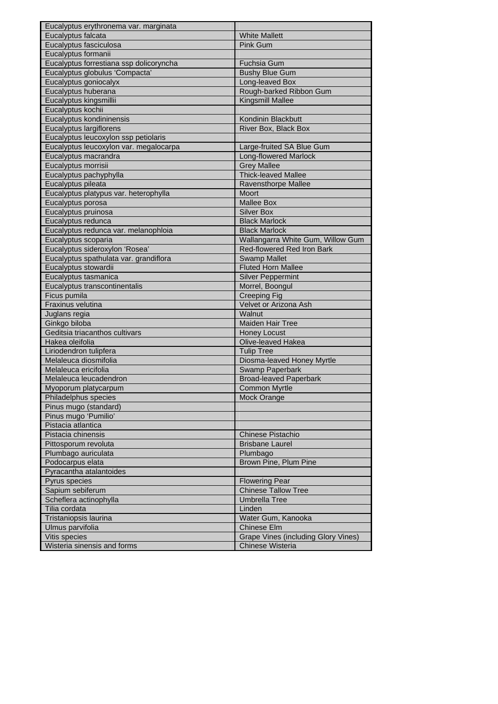| Eucalyptus erythronema var. marginata                 |                                                  |
|-------------------------------------------------------|--------------------------------------------------|
| Eucalyptus falcata                                    | <b>White Mallett</b>                             |
| Eucalyptus fasciculosa                                | <b>Pink Gum</b>                                  |
| Eucalyptus formanii                                   |                                                  |
| Eucalyptus forrestiana ssp dolicoryncha               | <b>Fuchsia Gum</b>                               |
| Eucalyptus globulus 'Compacta'                        | <b>Bushy Blue Gum</b>                            |
| Eucalyptus goniocalyx                                 | Long-leaved Box                                  |
| Eucalyptus huberana                                   | Rough-barked Ribbon Gum                          |
| Eucalyptus kingsmillii                                | <b>Kingsmill Mallee</b>                          |
| Eucalyptus kochii                                     |                                                  |
| Eucalyptus kondininensis                              | Kondinin Blackbutt                               |
| Eucalyptus largiflorens                               | River Box, Black Box                             |
| Eucalyptus leucoxylon ssp petiolaris                  |                                                  |
| Eucalyptus leucoxylon var. megalocarpa                | Large-fruited SA Blue Gum                        |
| Eucalyptus macrandra                                  | <b>Long-flowered Marlock</b>                     |
| Eucalyptus morrisii                                   | <b>Grey Mallee</b>                               |
| Eucalyptus pachyphylla                                | <b>Thick-leaved Mallee</b>                       |
| Eucalyptus pileata                                    | Ravensthorpe Mallee                              |
| Eucalyptus platypus var. heterophylla                 | Moort                                            |
| Eucalyptus porosa                                     | <b>Mallee Box</b>                                |
| Eucalyptus pruinosa                                   | <b>Silver Box</b>                                |
| Eucalyptus redunca                                    | <b>Black Marlock</b>                             |
|                                                       | <b>Black Marlock</b>                             |
| Eucalyptus redunca var. melanophloia                  | Wallangarra White Gum, Willow Gum                |
| Eucalyptus scoparia<br>Eucalyptus sideroxylon 'Rosea' | Red-flowered Red Iron Bark                       |
|                                                       |                                                  |
| Eucalyptus spathulata var. grandiflora                | <b>Swamp Mallet</b><br><b>Fluted Horn Mallee</b> |
| Eucalyptus stowardii                                  |                                                  |
| Eucalyptus tasmanica                                  | <b>Silver Peppermint</b>                         |
| Eucalyptus transcontinentalis                         | Morrel, Boongul                                  |
| Ficus pumila                                          | <b>Creeping Fig</b>                              |
| <b>Fraxinus velutina</b>                              | Velvet or Arizona Ash<br>Walnut                  |
| Juglans regia<br>Ginkgo biloba                        | <b>Maiden Hair Tree</b>                          |
| Geditsia triacanthos cultivars                        |                                                  |
|                                                       | <b>Honey Locust</b>                              |
| Hakea oleifolia                                       | Olive-leaved Hakea                               |
| Liriodendron tulipfera<br>Melaleuca diosmifolia       | <b>Tulip Tree</b>                                |
|                                                       | Diosma-leaved Honey Myrtle                       |
| Melaleuca ericifolia                                  | Swamp Paperbark                                  |
| Melaleuca leucadendron                                | <b>Broad-leaved Paperbark</b>                    |
| Myoporum platycarpum                                  | <b>Common Myrtle</b>                             |
| Philadelphus species                                  | Mock Orange                                      |
| Pinus mugo (standard)                                 |                                                  |
| Pinus mugo 'Pumilio'                                  |                                                  |
| Pistacia atlantica                                    |                                                  |
| Pistacia chinensis                                    | <b>Chinese Pistachio</b>                         |
| Pittosporum revoluta                                  | <b>Brisbane Laurel</b>                           |
| Plumbago auriculata                                   | Plumbago                                         |
| Podocarpus elata                                      | Brown Pine, Plum Pine                            |
| Pyracantha atalantoides                               |                                                  |
| Pyrus species                                         | <b>Flowering Pear</b>                            |
| Sapium sebiferum                                      | <b>Chinese Tallow Tree</b>                       |
| Scheflera actinophylla                                | <b>Umbrella Tree</b>                             |
| Tilia cordata                                         | Linden                                           |
| Tristaniopsis laurina                                 | Water Gum, Kanooka                               |
| Ulmus parvifolia                                      | <b>Chinese Elm</b>                               |
| Vitis species                                         | <b>Grape Vines (including Glory Vines)</b>       |
| Wisteria sinensis and forms                           | Chinese Wisteria                                 |